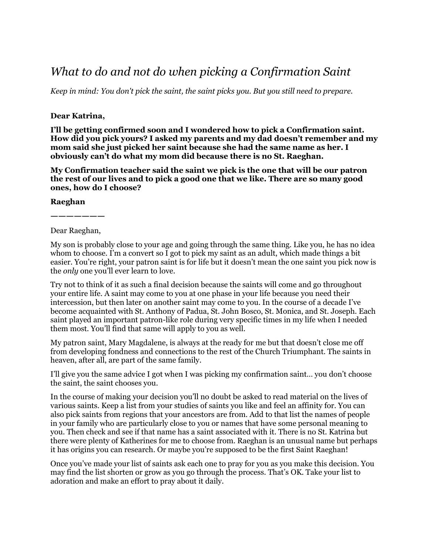## *What to do and not do when picking a Confirmation Saint*

*Keep in mind: You don't pick the saint, the saint picks you. But you still need to prepare.*

## **Dear Katrina,**

**I'll be getting confirmed soon and I wondered how to pick a Confirmation saint. How did you pick yours? I asked my parents and my dad doesn't remember and my mom said she just picked her saint because she had the same name as her. I obviously can't do what my mom did because there is no St. Raeghan.**

**My Confirmation teacher said the saint we pick is the one that will be our patron the rest of our lives and to pick a good one that we like. There are so many good ones, how do I choose?** 

## **Raeghan**

**———————** Dear Raeghan,

My son is probably close to your age and going through the same thing. Like you, he has no idea whom to choose. I'm a convert so I got to pick my saint as an adult, which made things a bit easier. You're right, your patron saint is for life but it doesn't mean the one saint you pick now is the *only* one you'll ever learn to love.

Try not to think of it as such a final decision because the saints will come and go throughout your entire life. A saint may come to you at one phase in your life because you need their intercession, but then later on another saint may come to you. In the course of a decade I've become acquainted with St. Anthony of Padua, St. John Bosco, St. Monica, and St. Joseph. Each saint played an important patron-like role during very specific times in my life when I needed them most. You'll find that same will apply to you as well.

My patron saint, Mary Magdalene, is always at the ready for me but that doesn't close me off from developing fondness and connections to the rest of the Church Triumphant. The saints in heaven, after all, are part of the same family.

I'll give you the same advice I got when I was picking my confirmation saint… you don't choose the saint, the saint chooses you.

In the course of making your decision you'll no doubt be asked to read material on the lives of various saints. Keep a list from your studies of saints you like and feel an affinity for. You can also pick saints from regions that your ancestors are from. Add to that list the names of people in your family who are particularly close to you or names that have some personal meaning to you. Then check and see if that name has a saint associated with it. There is no St. Katrina but there were plenty of Katherines for me to choose from. Raeghan is an unusual name but perhaps it has origins you can research. Or maybe you're supposed to be the first Saint Raeghan!

Once you've made your list of saints ask each one to pray for you as you make this decision. You may find the list shorten or grow as you go through the process. That's OK. Take your list to adoration and make an effort to pray about it daily.